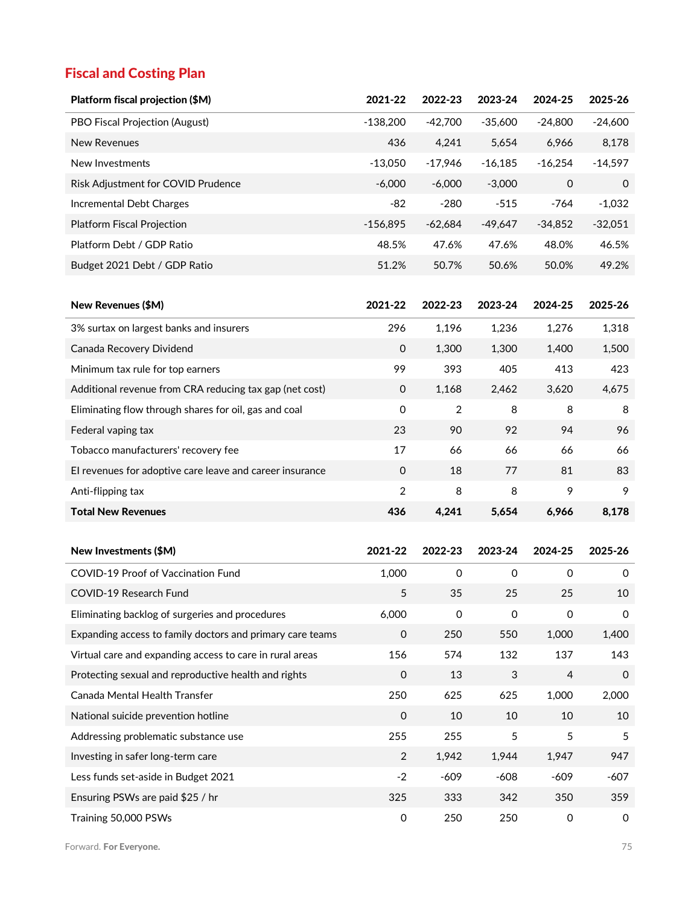## Fiscal and Costing Plan

| Platform fiscal projection (\$M)                          | 2021-22             | 2022-23             | 2023-24             | 2024-25             | 2025-26     |
|-----------------------------------------------------------|---------------------|---------------------|---------------------|---------------------|-------------|
| PBO Fiscal Projection (August)                            | $-138,200$          | $-42,700$           | $-35,600$           | $-24,800$           | $-24,600$   |
| <b>New Revenues</b>                                       | 436                 | 4,241               | 5,654               | 6,966               | 8,178       |
| New Investments                                           | $-13,050$           | $-17,946$           | $-16,185$           | $-16,254$           | $-14,597$   |
| Risk Adjustment for COVID Prudence                        | $-6,000$            | $-6,000$            | $-3,000$            | 0                   | 0           |
| Incremental Debt Charges                                  | $-82$               | $-280$              | $-515$              | $-764$              | $-1,032$    |
| <b>Platform Fiscal Projection</b>                         | $-156,895$          | $-62,684$           | $-49,647$           | $-34,852$           | $-32,051$   |
| Platform Debt / GDP Ratio                                 | 48.5%               | 47.6%               | 47.6%               | 48.0%               | 46.5%       |
| Budget 2021 Debt / GDP Ratio                              | 51.2%               | 50.7%               | 50.6%               | 50.0%               | 49.2%       |
|                                                           |                     |                     |                     |                     |             |
| New Revenues (\$M)                                        | 2021-22             | 2022-23             | 2023-24             | 2024-25             | 2025-26     |
| 3% surtax on largest banks and insurers                   | 296                 | 1,196               | 1,236               | 1,276               | 1,318       |
| Canada Recovery Dividend                                  | 0                   | 1,300               | 1,300               | 1,400               | 1,500       |
| Minimum tax rule for top earners                          | 99                  | 393                 | 405                 | 413                 | 423         |
| Additional revenue from CRA reducing tax gap (net cost)   | $\mathbf 0$         | 1,168               | 2,462               | 3,620               | 4,675       |
| Eliminating flow through shares for oil, gas and coal     | $\mathbf 0$         | 2                   | 8                   | 8                   | 8           |
| Federal vaping tax                                        | 23                  | 90                  | 92                  | 94                  | 96          |
| Tobacco manufacturers' recovery fee                       | 17                  | 66                  | 66                  | 66                  | 66          |
| El revenues for adoptive care leave and career insurance  | $\mathbf 0$         | 18                  | 77                  | 81                  | 83          |
| Anti-flipping tax                                         | $\overline{2}$      | 8                   | 8                   | 9                   | 9           |
| <b>Total New Revenues</b>                                 | 436                 | 4,241               | 5,654               | 6,966               | 8,178       |
|                                                           |                     |                     |                     |                     |             |
| New Investments (\$M)                                     | 2021-22             | 2022-23             | 2023-24             | 2024-25             | 2025-26     |
| COVID-19 Proof of Vaccination Fund                        | 1,000               | $\mathbf 0$         | 0                   | $\mathbf 0$         | 0           |
| COVID-19 Research Fund                                    | 5                   | 35                  | 25                  | 25                  | 10          |
| Eliminating backlog of surgeries and procedures           | 6,000               | $\mathsf{O}\xspace$ | $\mathsf{O}\xspace$ | $\mathsf{O}\xspace$ | 0           |
| Expanding access to family doctors and primary care teams | $\mathsf{O}\xspace$ | 250                 | 550                 | 1,000               | 1,400       |
| Virtual care and expanding access to care in rural areas  | 156                 | 574                 | 132                 | 137                 | 143         |
| Protecting sexual and reproductive health and rights      | $\mathsf{O}\xspace$ | 13                  | $\sqrt{3}$          | $\overline{4}$      | $\mathbf 0$ |
| Canada Mental Health Transfer                             | 250                 | 625                 | 625                 | 1,000               | 2,000       |
| National suicide prevention hotline                       | $\mathsf{O}\xspace$ | 10                  | 10                  | 10                  | 10          |
| Addressing problematic substance use                      | 255                 | 255                 | 5                   | 5                   | 5           |
| Investing in safer long-term care                         | $\overline{2}$      | 1,942               | 1,944               | 1,947               | 947         |
| Less funds set-aside in Budget 2021                       | $-2$                | $-609$              | $-608$              | $-609$              | $-607$      |
| Ensuring PSWs are paid \$25 / hr                          | 325                 | 333                 | 342                 | 350                 | 359         |
| Training 50,000 PSWs                                      | $\mathsf{O}\xspace$ | 250                 | 250                 | $\mathsf{O}\xspace$ | 0           |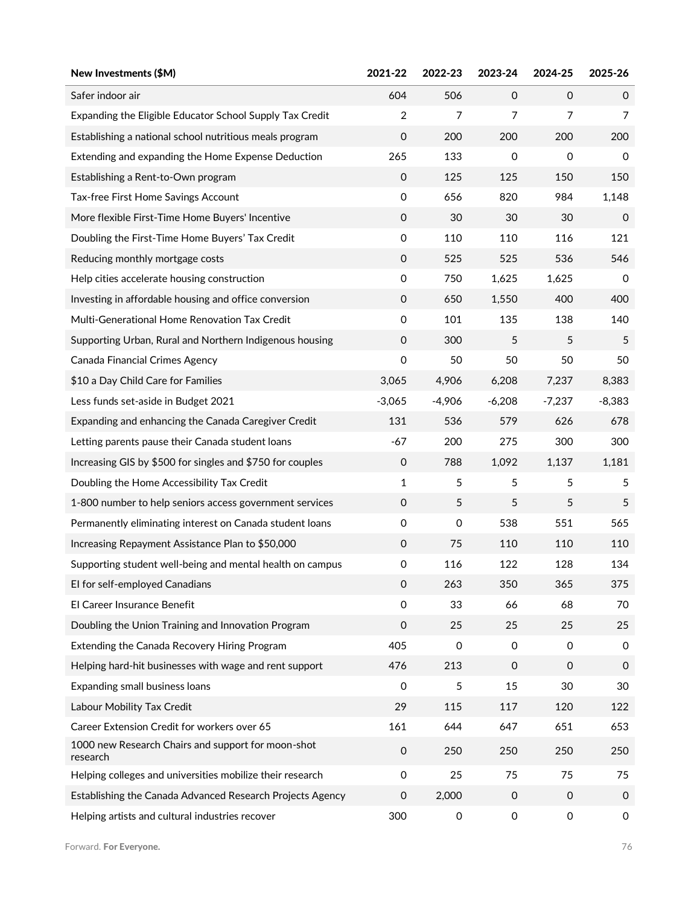| New Investments (\$M)                                          | 2021-22             | 2022-23             | 2023-24        | 2024-25             | 2025-26             |
|----------------------------------------------------------------|---------------------|---------------------|----------------|---------------------|---------------------|
| Safer indoor air                                               | 604                 | 506                 | $\mathbf 0$    | $\mathbf 0$         | $\Omega$            |
| Expanding the Eligible Educator School Supply Tax Credit       | $\overline{2}$      | $\overline{7}$      | $\overline{7}$ | $\overline{7}$      | $\overline{7}$      |
| Establishing a national school nutritious meals program        | 0                   | 200                 | 200            | 200                 | 200                 |
| Extending and expanding the Home Expense Deduction             | 265                 | 133                 | 0              | $\mathsf O$         | 0                   |
| Establishing a Rent-to-Own program                             | 0                   | 125                 | 125            | 150                 | 150                 |
| Tax-free First Home Savings Account                            | 0                   | 656                 | 820            | 984                 | 1,148               |
| More flexible First-Time Home Buyers' Incentive                | 0                   | 30                  | 30             | 30                  | 0                   |
| Doubling the First-Time Home Buyers' Tax Credit                | 0                   | 110                 | 110            | 116                 | 121                 |
| Reducing monthly mortgage costs                                | 0                   | 525                 | 525            | 536                 | 546                 |
| Help cities accelerate housing construction                    | 0                   | 750                 | 1,625          | 1,625               | 0                   |
| Investing in affordable housing and office conversion          | 0                   | 650                 | 1,550          | 400                 | 400                 |
| Multi-Generational Home Renovation Tax Credit                  | 0                   | 101                 | 135            | 138                 | 140                 |
| Supporting Urban, Rural and Northern Indigenous housing        | 0                   | 300                 | 5              | 5                   | 5                   |
| Canada Financial Crimes Agency                                 | 0                   | 50                  | 50             | 50                  | 50                  |
| \$10 a Day Child Care for Families                             | 3,065               | 4,906               | 6,208          | 7,237               | 8,383               |
| Less funds set-aside in Budget 2021                            | $-3,065$            | $-4,906$            | $-6,208$       | $-7,237$            | $-8,383$            |
| Expanding and enhancing the Canada Caregiver Credit            | 131                 | 536                 | 579            | 626                 | 678                 |
| Letting parents pause their Canada student loans               | $-67$               | 200                 | 275            | 300                 | 300                 |
| Increasing GIS by \$500 for singles and \$750 for couples      | 0                   | 788                 | 1,092          | 1,137               | 1,181               |
| Doubling the Home Accessibility Tax Credit                     | $\mathbf{1}$        | 5                   | 5              | 5                   | 5                   |
| 1-800 number to help seniors access government services        | 0                   | 5                   | 5              | 5                   | 5                   |
| Permanently eliminating interest on Canada student loans       | 0                   | 0                   | 538            | 551                 | 565                 |
| Increasing Repayment Assistance Plan to \$50,000               | $\mbox{O}$          | 75                  | 110            | 110                 | 110                 |
| Supporting student well-being and mental health on campus      | 0                   | 116                 | 122            | 128                 | 134                 |
| El for self-employed Canadians                                 | 0                   | 263                 | 350            | 365                 | 375                 |
| El Career Insurance Benefit                                    | 0                   | 33                  | 66             | 68                  | 70                  |
| Doubling the Union Training and Innovation Program             | $\mathsf{O}\xspace$ | 25                  | 25             | 25                  | 25                  |
| Extending the Canada Recovery Hiring Program                   | 405                 | 0                   | 0              | $\mathbf 0$         | $\mathbf 0$         |
| Helping hard-hit businesses with wage and rent support         | 476                 | 213                 | $\mathbf 0$    | $\mathbf 0$         | 0                   |
| Expanding small business loans                                 | 0                   | 5                   | 15             | 30                  | 30                  |
| Labour Mobility Tax Credit                                     | 29                  | 115                 | 117            | 120                 | 122                 |
| Career Extension Credit for workers over 65                    | 161                 | 644                 | 647            | 651                 | 653                 |
| 1000 new Research Chairs and support for moon-shot<br>research | 0                   | 250                 | 250            | 250                 | 250                 |
| Helping colleges and universities mobilize their research      | $\mathsf{O}\xspace$ | 25                  | 75             | 75                  | 75                  |
| Establishing the Canada Advanced Research Projects Agency      | 0                   | 2,000               | $\mathbf 0$    | 0                   | 0                   |
| Helping artists and cultural industries recover                | 300                 | $\mathsf{O}\xspace$ | 0              | $\mathsf{O}\xspace$ | $\mathsf{O}\xspace$ |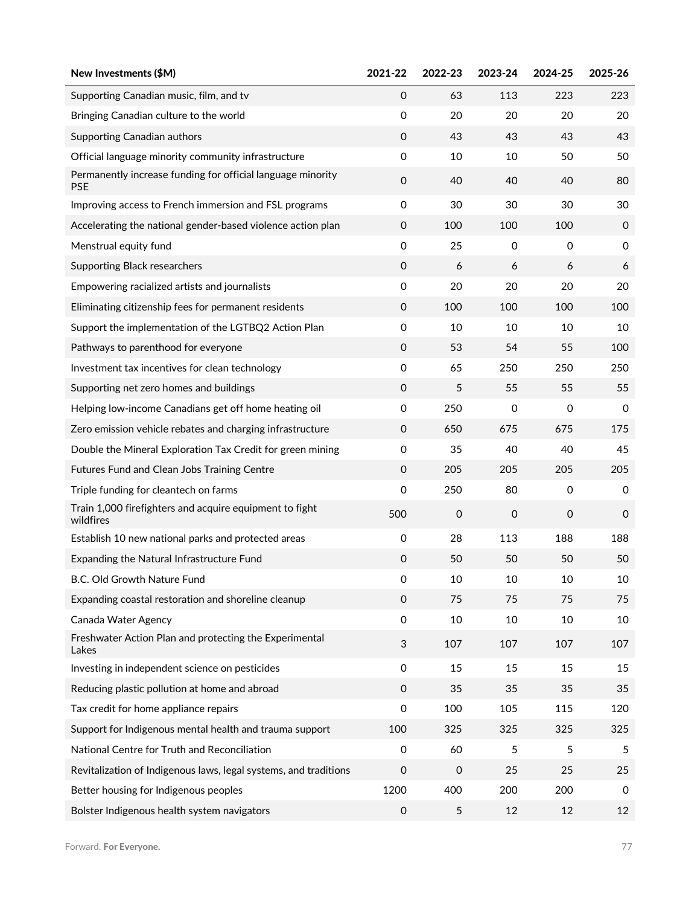| New Investments (\$M)                                                     | 2021-22                   | 2022-23     | 2023-24     | 2024-25             | 2025-26     |
|---------------------------------------------------------------------------|---------------------------|-------------|-------------|---------------------|-------------|
| Supporting Canadian music, film, and tv                                   | $\Omega$                  | 63          | 113         | 223                 | 223         |
| Bringing Canadian culture to the world                                    | $\mathsf{O}\xspace$       | 20          | 20          | 20                  | 20          |
| <b>Supporting Canadian authors</b>                                        | $\mathbf 0$               | 43          | 43          | 43                  | 43          |
| Official language minority community infrastructure                       | $\mathsf{O}\xspace$       | 10          | 10          | 50                  | 50          |
| Permanently increase funding for official language minority<br><b>PSE</b> | $\mathsf{O}\xspace$       | 40          | 40          | 40                  | 80          |
| Improving access to French immersion and FSL programs                     | $\mathsf{O}\xspace$       | 30          | 30          | 30                  | 30          |
| Accelerating the national gender-based violence action plan               | $\mathbf 0$               | 100         | 100         | 100                 | 0           |
| Menstrual equity fund                                                     | 0                         | 25          | 0           | 0                   | 0           |
| <b>Supporting Black researchers</b>                                       | $\mathbf 0$               | 6           | 6           | 6                   | 6           |
| Empowering racialized artists and journalists                             | 0                         | 20          | 20          | 20                  | 20          |
| Eliminating citizenship fees for permanent residents                      | $\mathbf 0$               | 100         | 100         | 100                 | 100         |
| Support the implementation of the LGTBQ2 Action Plan                      | 0                         | 10          | 10          | 10                  | 10          |
| Pathways to parenthood for everyone                                       | $\mathbf 0$               | 53          | 54          | 55                  | 100         |
| Investment tax incentives for clean technology                            | 0                         | 65          | 250         | 250                 | 250         |
| Supporting net zero homes and buildings                                   | $\mathbf 0$               | 5           | 55          | 55                  | 55          |
| Helping low-income Canadians get off home heating oil                     | 0                         | 250         | 0           | 0                   | 0           |
| Zero emission vehicle rebates and charging infrastructure                 | $\mathbf 0$               | 650         | 675         | 675                 | 175         |
| Double the Mineral Exploration Tax Credit for green mining                | 0                         | 35          | 40          | 40                  | 45          |
| Futures Fund and Clean Jobs Training Centre                               | $\mathbf 0$               | 205         | 205         | 205                 | 205         |
| Triple funding for cleantech on farms                                     | $\mathsf{O}\xspace$       | 250         | 80          | $\mathsf{O}\xspace$ | 0           |
| Train 1,000 firefighters and acquire equipment to fight<br>wildfires      | 500                       | $\mathbf 0$ | $\mathbf 0$ | 0                   | $\mathbf 0$ |
| Establish 10 new national parks and protected areas                       | $\mathsf{O}\xspace$       | 28          | 113         | 188                 | 188         |
| Expanding the Natural Infrastructure Fund                                 | $\mathsf{O}\xspace$       | 50          | 50          | 50                  | 50          |
| B.C. Old Growth Nature Fund                                               | 0                         | 10          | 10          | 10                  | 10          |
| Expanding coastal restoration and shoreline cleanup                       | $\mathbf 0$               | 75          | 75          | 75                  | 75          |
| Canada Water Agency                                                       | $\mathsf{O}\xspace$       | 10          | 10          | 10                  | 10          |
| Freshwater Action Plan and protecting the Experimental<br>Lakes           | $\ensuremath{\mathsf{3}}$ | 107         | 107         | 107                 | 107         |
| Investing in independent science on pesticides                            | $\mathsf{O}\xspace$       | 15          | 15          | 15                  | 15          |
| Reducing plastic pollution at home and abroad                             | $\mathbf 0$               | 35          | 35          | 35                  | 35          |
| Tax credit for home appliance repairs                                     | 0                         | 100         | 105         | 115                 | 120         |
| Support for Indigenous mental health and trauma support                   | 100                       | 325         | 325         | 325                 | 325         |
| National Centre for Truth and Reconciliation                              | 0                         | 60          | 5           | 5                   | 5           |
| Revitalization of Indigenous laws, legal systems, and traditions          | 0                         | $\mathbf 0$ | 25          | 25                  | 25          |
| Better housing for Indigenous peoples                                     | 1200                      | 400         | 200         | 200                 | 0           |
| Bolster Indigenous health system navigators                               | $\mathbf 0$               | 5           | 12          | 12                  | 12          |